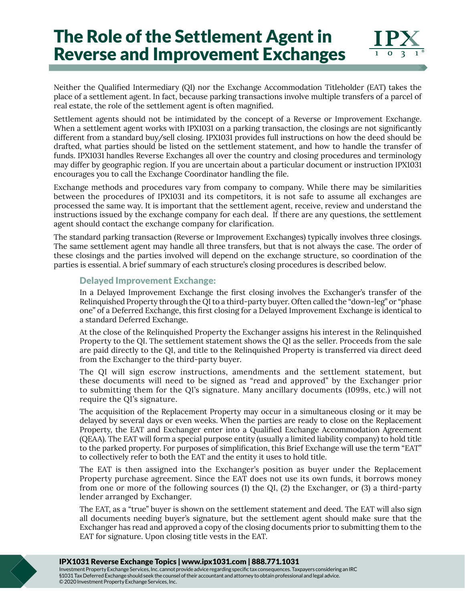# The Role of the Settlement Agent in Reverse and Improvement Exchanges

Neither the Qualified Intermediary (QI) nor the Exchange Accommodation Titleholder (EAT) takes the place of a settlement agent. In fact, because parking transactions involve multiple transfers of a parcel of real estate, the role of the settlement agent is often magnified.

Settlement agents should not be intimidated by the concept of a Reverse or Improvement Exchange. When a settlement agent works with IPX1031 on a parking transaction, the closings are not significantly different from a standard buy/sell closing. IPX1031 provides full instructions on how the deed should be drafted, what parties should be listed on the settlement statement, and how to handle the transfer of funds. IPX1031 handles Reverse Exchanges all over the country and closing procedures and terminology may differ by geographic region. If you are uncertain about a particular document or instruction IPX1031 encourages you to call the Exchange Coordinator handling the file.

Exchange methods and procedures vary from company to company. While there may be similarities between the procedures of IPX1031 and its competitors, it is not safe to assume all exchanges are processed the same way. It is important that the settlement agent, receive, review and understand the instructions issued by the exchange company for each deal. If there are any questions, the settlement agent should contact the exchange company for clarification.

The standard parking transaction (Reverse or Improvement Exchanges) typically involves three closings. The same settlement agent may handle all three transfers, but that is not always the case. The order of these closings and the parties involved will depend on the exchange structure, so coordination of the parties is essential. A brief summary of each structure's closing procedures is described below.

### Delayed Improvement Exchange:

In a Delayed Improvement Exchange the first closing involves the Exchanger's transfer of the Relinquished Property through the QI to a third-party buyer. Often called the "down-leg" or "phase one" of a Deferred Exchange, this first closing for a Delayed Improvement Exchange is identical to a standard Deferred Exchange.

At the close of the Relinquished Property the Exchanger assigns his interest in the Relinquished Property to the QI. The settlement statement shows the QI as the seller. Proceeds from the sale are paid directly to the QI, and title to the Relinquished Property is transferred via direct deed from the Exchanger to the third-party buyer.

The QI will sign escrow instructions, amendments and the settlement statement, but these documents will need to be signed as "read and approved" by the Exchanger prior to submitting them for the QI's signature. Many ancillary documents (1099s, etc.) will not require the QI's signature.

The acquisition of the Replacement Property may occur in a simultaneous closing or it may be delayed by several days or even weeks. When the parties are ready to close on the Replacement Property, the EAT and Exchanger enter into a Qualified Exchange Accommodation Agreement (QEAA). The EAT will form a special purpose entity (usually a limited liability company) to hold title to the parked property. For purposes of simplification, this Brief Exchange will use the term "EAT" to collectively refer to both the EAT and the entity it uses to hold title.

The EAT is then assigned into the Exchanger's position as buyer under the Replacement Property purchase agreement. Since the EAT does not use its own funds, it borrows money from one or more of the following sources (1) the QI, (2) the Exchanger, or (3) a third-party lender arranged by Exchanger.

The EAT, as a "true" buyer is shown on the settlement statement and deed. The EAT will also sign all documents needing buyer's signature, but the settlement agent should make sure that the Exchanger has read and approved a copy of the closing documents prior to submitting them to the EAT for signature. Upon closing title vests in the EAT.

#### IPX1031 Reverse Exchange Topics | www.ipx1031.com | 888.771.1031

Investment Property Exchange Services, Inc. cannot provide advice regarding specific tax consequences. Taxpayers considering an IRC §1031 Tax Deferred Exchange should seek the counsel of their accountant and attorney to obtain professional and legal advice. © 2020 Investment Property Exchange Services, Inc.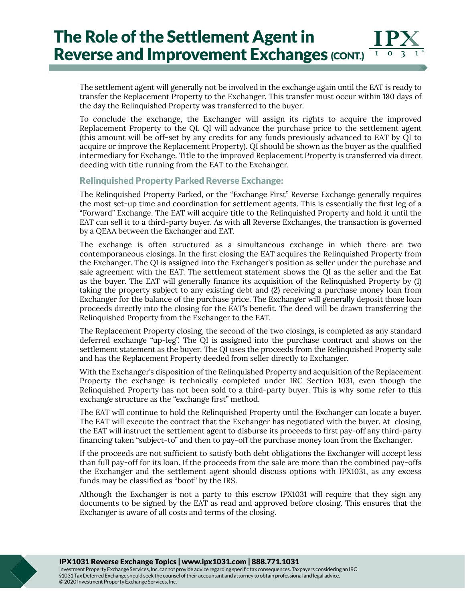## The Role of the Settlement Agent in Reverse and Improvement Exchanges (CONT.)

The settlement agent will generally not be involved in the exchange again until the EAT is ready to transfer the Replacement Property to the Exchanger. This transfer must occur within 180 days of the day the Relinquished Property was transferred to the buyer.

To conclude the exchange, the Exchanger will assign its rights to acquire the improved Replacement Property to the QI. QI will advance the purchase price to the settlement agent (this amount will be off-set by any credits for any funds previously advanced to EAT by QI to acquire or improve the Replacement Property). QI should be shown as the buyer as the qualified intermediary for Exchange. Title to the improved Replacement Property is transferred via direct deeding with title running from the EAT to the Exchanger.

#### Relinquished Property Parked Reverse Exchange:

The Relinquished Property Parked, or the "Exchange First" Reverse Exchange generally requires the most set-up time and coordination for settlement agents. This is essentially the first leg of a "Forward" Exchange. The EAT will acquire title to the Relinquished Property and hold it until the EAT can sell it to a third-party buyer. As with all Reverse Exchanges, the transaction is governed by a QEAA between the Exchanger and EAT.

The exchange is often structured as a simultaneous exchange in which there are two contemporaneous closings. In the first closing the EAT acquires the Relinquished Property from the Exchanger. The QI is assigned into the Exchanger's position as seller under the purchase and sale agreement with the EAT. The settlement statement shows the QI as the seller and the Eat as the buyer. The EAT will generally finance its acquisition of the Relinquished Property by (1) taking the property subject to any existing debt and (2) receiving a purchase money loan from Exchanger for the balance of the purchase price. The Exchanger will generally deposit those loan proceeds directly into the closing for the EAT's benefit. The deed will be drawn transferring the Relinquished Property from the Exchanger to the EAT.

The Replacement Property closing, the second of the two closings, is completed as any standard deferred exchange "up-leg". The QI is assigned into the purchase contract and shows on the settlement statement as the buyer. The QI uses the proceeds from the Relinquished Property sale and has the Replacement Property deeded from seller directly to Exchanger.

With the Exchanger's disposition of the Relinquished Property and acquisition of the Replacement Property the exchange is technically completed under IRC Section 1031, even though the Relinquished Property has not been sold to a third-party buyer. This is why some refer to this exchange structure as the "exchange first" method.

The EAT will continue to hold the Relinquished Property until the Exchanger can locate a buyer. The EAT will execute the contract that the Exchanger has negotiated with the buyer. At closing, the EAT will instruct the settlement agent to disburse its proceeds to first pay-off any third-party financing taken "subject-to" and then to pay-off the purchase money loan from the Exchanger.

If the proceeds are not sufficient to satisfy both debt obligations the Exchanger will accept less than full pay-off for its loan. If the proceeds from the sale are more than the combined pay-offs the Exchanger and the settlement agent should discuss options with IPX1031, as any excess funds may be classified as "boot" by the IRS.

Although the Exchanger is not a party to this escrow IPX1031 will require that they sign any documents to be signed by the EAT as read and approved before closing. This ensures that the Exchanger is aware of all costs and terms of the closing.

IPX1031 Reverse Exchange Topics | www.ipx1031.com | 888.771.1031

Investment Property Exchange Services, Inc. cannot provide advice regarding specific tax consequences. Taxpayers considering an IRC §1031 Tax Deferred Exchange should seek the counsel of their accountant and attorney to obtain professional and legal advice. © 2020 Investment Property Exchange Services, Inc.